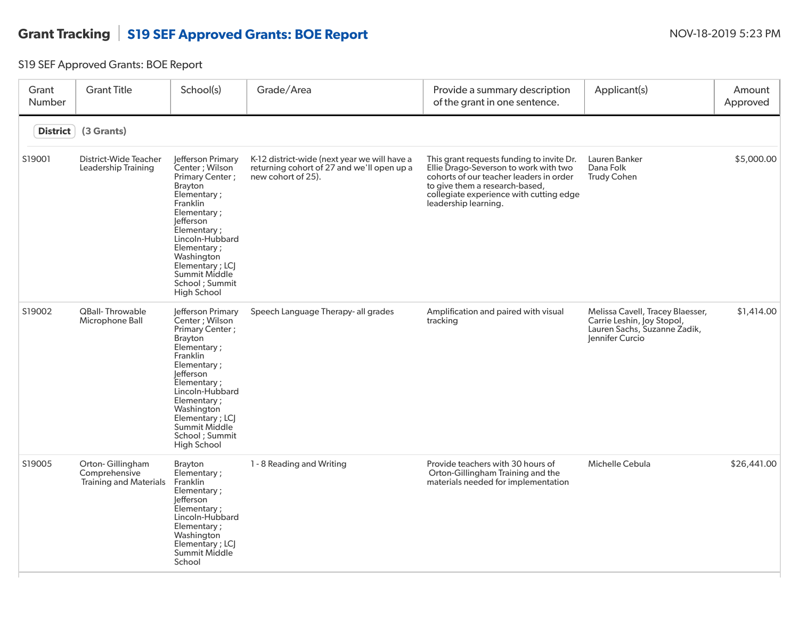## Grant Tracking S19 SEF Approved Grants: BOE Report NOV-18-2019 5:23 PM

S19 SEF Approved Grants: BOE Report

| Grant<br>Number | <b>Grant Title</b>                                          | School(s)                                                                                                                                                                                                                                                                    | Grade/Area                                                                                                       | Provide a summary description<br>of the grant in one sentence.                                                                                                                                                                     | Applicant(s)                                                                                                      | Amount<br>Approved |
|-----------------|-------------------------------------------------------------|------------------------------------------------------------------------------------------------------------------------------------------------------------------------------------------------------------------------------------------------------------------------------|------------------------------------------------------------------------------------------------------------------|------------------------------------------------------------------------------------------------------------------------------------------------------------------------------------------------------------------------------------|-------------------------------------------------------------------------------------------------------------------|--------------------|
| <b>District</b> | (3 Grants)                                                  |                                                                                                                                                                                                                                                                              |                                                                                                                  |                                                                                                                                                                                                                                    |                                                                                                                   |                    |
| S19001          | District-Wide Teacher<br>Leadership Training                | Jefferson Primary<br>Center: Wilson<br>Primary Center;<br><b>Brayton</b><br>Elementary;<br>Franklin<br>Elementary;<br>Jefferson<br>Elementary;<br>Lincoln-Hubbard<br>Elementary;<br>Washington<br>Elementary ; LCI<br>Summit Middle<br>School ; Summit<br><b>High School</b> | K-12 district-wide (next year we will have a<br>returning cohort of 27 and we'll open up a<br>new cohort of 25). | This grant requests funding to invite Dr.<br>Ellie Drago-Severson to work with two<br>cohorts of our teacher leaders in order<br>to give them a research-based,<br>collegiate experience with cutting edge<br>leadership learning. | Lauren Banker<br>Dana Folk<br><b>Trudy Cohen</b>                                                                  | \$5,000.00         |
| S19002          | <b>QBall-Throwable</b><br>Microphone Ball                   | Jefferson Primary<br>Center ; Wilson<br>Primary Center;<br><b>Brayton</b><br>Elementary;<br>Franklin<br>Elementary;<br>lefferson<br>Elementary;<br>Lincoln-Hubbard<br>Elementary;<br>Washington<br>Elementary; LCJ<br>Summit Middle<br>School ; Summit<br><b>High School</b> | Speech Language Therapy- all grades                                                                              | Amplification and paired with visual<br>tracking                                                                                                                                                                                   | Melissa Cavell, Tracey Blaesser,<br>Carrie Leshin, Joy Stopol,<br>Lauren Sachs, Suzanne Zadik,<br>Jennifer Curcio | \$1,414.00         |
| S19005          | Orton-Gillingham<br>Comprehensive<br>Training and Materials | <b>Brayton</b><br>Elementary;<br>Franklin<br>Elementary;<br>lefferson<br>Elementary;<br>Lincoln-Hubbard<br>Elementary ;<br>Washington<br>Elementary ; LCI<br>Summit Middle<br>School                                                                                         | 1 - 8 Reading and Writing                                                                                        | Provide teachers with 30 hours of<br>Orton-Gillingham Training and the<br>materials needed for implementation                                                                                                                      | Michelle Cebula                                                                                                   | \$26,441.00        |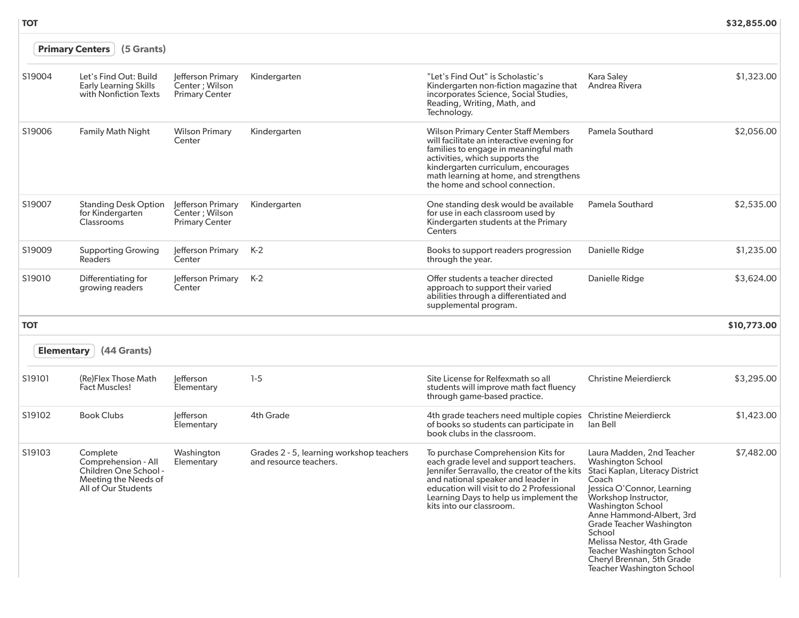|                   | (5 Grants)<br><b>Primary Centers</b>                                                                    |                                                               |                                                                    |                                                                                                                                                                                                                                                                                         |                                                                                                                                                                                                                                                                                                                                                                                                |             |  |  |  |
|-------------------|---------------------------------------------------------------------------------------------------------|---------------------------------------------------------------|--------------------------------------------------------------------|-----------------------------------------------------------------------------------------------------------------------------------------------------------------------------------------------------------------------------------------------------------------------------------------|------------------------------------------------------------------------------------------------------------------------------------------------------------------------------------------------------------------------------------------------------------------------------------------------------------------------------------------------------------------------------------------------|-------------|--|--|--|
| S19004            | Let's Find Out: Build<br><b>Early Learning Skills</b><br>with Nonfiction Texts                          | Jefferson Primary<br>Center ; Wilson<br><b>Primary Center</b> | Kindergarten                                                       | "Let's Find Out" is Scholastic's<br>Kindergarten non-fiction magazine that<br>incorporates Science, Social Studies,<br>Reading, Writing, Math, and<br>Technology.                                                                                                                       | Kara Saley<br>Andrea Rivera                                                                                                                                                                                                                                                                                                                                                                    | \$1,323.00  |  |  |  |
| S19006            | <b>Family Math Night</b>                                                                                | <b>Wilson Primary</b><br>Center                               | Kindergarten                                                       | <b>Wilson Primary Center Staff Members</b><br>will facilitate an interactive evening for<br>families to engage in meaningful math<br>activities, which supports the<br>kindergarten curriculum, encourages<br>math learning at home, and strengthens<br>the home and school connection. | Pamela Southard                                                                                                                                                                                                                                                                                                                                                                                | \$2,056.00  |  |  |  |
| S19007            | <b>Standing Desk Option</b><br>for Kindergarten<br>Classrooms                                           | Jefferson Primary<br>Center ; Wilson<br><b>Primary Center</b> | Kindergarten                                                       | One standing desk would be available<br>for use in each classroom used by<br>Kindergarten students at the Primary<br>Centers                                                                                                                                                            | <b>Pamela Southard</b>                                                                                                                                                                                                                                                                                                                                                                         | \$2,535.00  |  |  |  |
| S19009            | <b>Supporting Growing</b><br><b>Readers</b>                                                             | Jefferson Primary<br>Center                                   | K-2                                                                | Books to support readers progression<br>through the year.                                                                                                                                                                                                                               | Danielle Ridge                                                                                                                                                                                                                                                                                                                                                                                 | \$1,235.00  |  |  |  |
| S19010            | Differentiating for<br>growing readers                                                                  | lefferson Primary<br>Center                                   | $K-2$                                                              | Offer students a teacher directed<br>approach to support their varied<br>abilities through a differentiated and<br>supplemental program.                                                                                                                                                | <b>Danielle Ridge</b>                                                                                                                                                                                                                                                                                                                                                                          | \$3,624.00  |  |  |  |
| <b>TOT</b>        |                                                                                                         |                                                               |                                                                    |                                                                                                                                                                                                                                                                                         |                                                                                                                                                                                                                                                                                                                                                                                                | \$10,773.00 |  |  |  |
| <b>Elementary</b> | (44 Grants)                                                                                             |                                                               |                                                                    |                                                                                                                                                                                                                                                                                         |                                                                                                                                                                                                                                                                                                                                                                                                |             |  |  |  |
| S19101            | (Re)Flex Those Math<br><b>Fact Muscles!</b>                                                             | efferson<br>Elementary                                        | $1-5$                                                              | Site License for Relfexmath so all<br>students will improve math fact fluency<br>through game-based practice.                                                                                                                                                                           | <b>Christine Meierdierck</b>                                                                                                                                                                                                                                                                                                                                                                   | \$3,295.00  |  |  |  |
| S19102            | <b>Book Clubs</b>                                                                                       | lefferson<br>Elementary                                       | 4th Grade                                                          | 4th grade teachers need multiple copies Christine Meierdierck<br>of books so students can participate in<br>book clubs in the classroom.                                                                                                                                                | lan Bell                                                                                                                                                                                                                                                                                                                                                                                       | \$1,423.00  |  |  |  |
| S19103            | Complete<br>Comprehension - All<br>Children One School -<br>Meeting the Needs of<br>All of Our Students | Washington<br>Elementary                                      | Grades 2 - 5, learning workshop teachers<br>and resource teachers. | To purchase Comprehension Kits for<br>each grade level and support teachers.<br>Jennifer Serravallo, the creator of the kits<br>and national speaker and leader in<br>education will visit to do 2 Professional<br>Learning Days to help us implement the<br>kits into our classroom.   | Laura Madden, 2nd Teacher<br><b>Washington School</b><br>Staci Kaplan, Literacy District<br>Coach<br>Jessica O'Connor, Learning<br>Workshop Instructor,<br><b>Washington School</b><br>Anne Hammond-Albert, 3rd<br><b>Grade Teacher Washington</b><br>School<br>Melissa Nestor, 4th Grade<br><b>Teacher Washington School</b><br>Cheryl Brennan, 5th Grade<br><b>Teacher Washington School</b> | \$7,482.00  |  |  |  |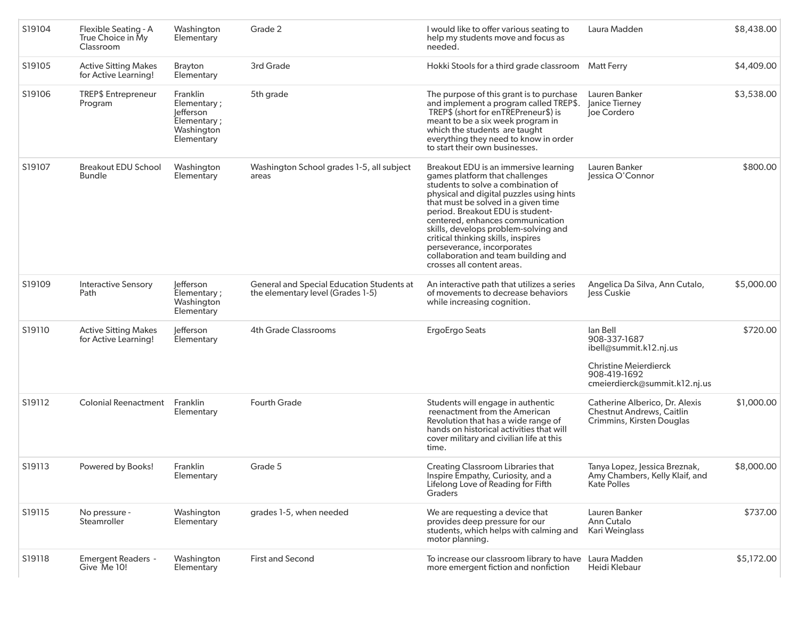| S19104 | Flexible Seating - A<br>True Choice in My<br>Classroom | Washington<br>Elementary                                                        | Grade 2                                                                        | I would like to offer various seating to<br>help my students move and focus as<br>needed.                                                                                                                                                                                                                                                                                                                                                                 | Laura Madden                                                                                                                        | \$8,438.00 |
|--------|--------------------------------------------------------|---------------------------------------------------------------------------------|--------------------------------------------------------------------------------|-----------------------------------------------------------------------------------------------------------------------------------------------------------------------------------------------------------------------------------------------------------------------------------------------------------------------------------------------------------------------------------------------------------------------------------------------------------|-------------------------------------------------------------------------------------------------------------------------------------|------------|
| S19105 | <b>Active Sitting Makes</b><br>for Active Learning!    | Brayton<br>Elementary                                                           | 3rd Grade                                                                      | Hokki Stools for a third grade classroom Matt Ferry                                                                                                                                                                                                                                                                                                                                                                                                       |                                                                                                                                     | \$4,409.00 |
| S19106 | <b>TREP\$</b> Entrepreneur<br>Program                  | Franklin<br>Elementary;<br>lefferson<br>Elementary;<br>Washington<br>Elementary | 5th grade                                                                      | The purpose of this grant is to purchase<br>and implement a program called TREP\$.<br>TREP\$ (short for enTREPreneur\$) is<br>meant to be a six week program in<br>which the students are taught<br>everything they need to know in order<br>to start their own businesses.                                                                                                                                                                               | Lauren Banker<br>Janice Tierney<br>Joe Cordero                                                                                      | \$3,538.00 |
| S19107 | <b>Breakout EDU School</b><br><b>Bundle</b>            | Washington<br>Elementary                                                        | Washington School grades 1-5, all subject<br>areas                             | Breakout EDU is an immersive learning<br>games platform that challenges<br>students to solve a combination of<br>physical and digital puzzles using hints<br>that must be solved in a given time<br>period. Breakout EDU is student-<br>centered, enhances communication<br>skills, develops problem-solving and<br>critical thinking skills, inspires<br>perseverance, incorporates<br>collaboration and team building and<br>crosses all content areas. | Lauren Banker<br>Jessica O'Connor                                                                                                   | \$800.00   |
| S19109 | <b>Interactive Sensory</b><br>Path                     | lefferson<br>Elementary;<br>Washington<br>Elementary                            | General and Special Education Students at<br>the elementary level (Grades 1-5) | An interactive path that utilizes a series<br>of movements to decrease behaviors<br>while increasing cognition.                                                                                                                                                                                                                                                                                                                                           | Angelica Da Silva, Ann Cutalo,<br>less Cuskie                                                                                       | \$5,000.00 |
| S19110 | <b>Active Sitting Makes</b><br>for Active Learning!    | lefferson<br>Elementary                                                         | <b>4th Grade Classrooms</b>                                                    | ErgoErgo Seats                                                                                                                                                                                                                                                                                                                                                                                                                                            | lan Bell<br>908-337-1687<br>ibell@summit.k12.nj.us<br><b>Christine Meierdierck</b><br>908-419-1692<br>cmeierdierck@summit.k12.nj.us | \$720.00   |
| S19112 | <b>Colonial Reenactment</b>                            | Franklin<br>Elementary                                                          | <b>Fourth Grade</b>                                                            | Students will engage in authentic<br>reenactment from the American<br>Revolution that has a wide range of<br>hands on historical activities that will<br>cover military and civilian life at this<br>time.                                                                                                                                                                                                                                                | Catherine Alberico, Dr. Alexis<br><b>Chestnut Andrews, Caitlin</b><br>Crimmins, Kirsten Douglas                                     | \$1,000.00 |
| S19113 | Powered by Books!                                      | Franklin<br><b>Elementary</b>                                                   | Grade 5                                                                        | <b>Creating Classroom Libraries that</b><br>Inspire Empathy, Curiosity, and a<br>Lifelong Love of Reading for Fifth<br><b>Graders</b>                                                                                                                                                                                                                                                                                                                     | Tanya Lopez, Jessica Breznak,<br>Amy Chambers, Kelly Klaif, and<br><b>Kate Polles</b>                                               | \$8,000.00 |
| S19115 | No pressure -<br>Steamroller                           | Washington<br>Elementary                                                        | grades 1-5, when needed                                                        | We are requesting a device that<br>provides deep pressure for our<br>students, which helps with calming and<br>motor planning.                                                                                                                                                                                                                                                                                                                            | Lauren Banker<br>Ann Cutalo<br>Kari Weinglass                                                                                       | \$737.00   |
| S19118 | <b>Emergent Readers -</b><br>Give Me 10!               | Washington<br>Elementary                                                        | <b>First and Second</b>                                                        | To increase our classroom library to have<br>more emergent fiction and nonfiction                                                                                                                                                                                                                                                                                                                                                                         | Laura Madden<br>Heidi Klebaur                                                                                                       | \$5,172.00 |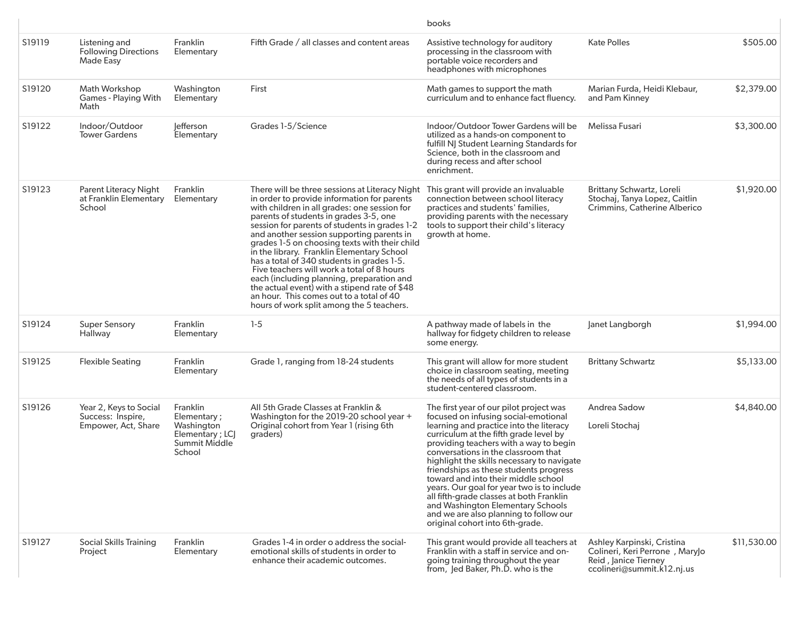|        |                                                                    |                                                                                     |                                                                                                                                                                                                                                                                                                                                                                                                                                                                                                                                                                                                                                                                         | books                                                                                                                                                                                                                                                                                                                                                                                                                                                                                                                                                                                            |                                                                                                                    |             |
|--------|--------------------------------------------------------------------|-------------------------------------------------------------------------------------|-------------------------------------------------------------------------------------------------------------------------------------------------------------------------------------------------------------------------------------------------------------------------------------------------------------------------------------------------------------------------------------------------------------------------------------------------------------------------------------------------------------------------------------------------------------------------------------------------------------------------------------------------------------------------|--------------------------------------------------------------------------------------------------------------------------------------------------------------------------------------------------------------------------------------------------------------------------------------------------------------------------------------------------------------------------------------------------------------------------------------------------------------------------------------------------------------------------------------------------------------------------------------------------|--------------------------------------------------------------------------------------------------------------------|-------------|
| S19119 | Listening and<br><b>Following Directions</b><br>Made Easy          | <b>Franklin</b><br>Elementary                                                       | Fifth Grade / all classes and content areas                                                                                                                                                                                                                                                                                                                                                                                                                                                                                                                                                                                                                             | Assistive technology for auditory<br>processing in the classroom with<br>portable voice recorders and<br>headphones with microphones                                                                                                                                                                                                                                                                                                                                                                                                                                                             | <b>Kate Polles</b>                                                                                                 | \$505.00    |
| S19120 | Math Workshop<br><b>Games - Playing With</b><br>Math               | Washington<br>Elementary                                                            | First                                                                                                                                                                                                                                                                                                                                                                                                                                                                                                                                                                                                                                                                   | Math games to support the math<br>curriculum and to enhance fact fluency.                                                                                                                                                                                                                                                                                                                                                                                                                                                                                                                        | Marian Furda, Heidi Klebaur,<br>and Pam Kinney                                                                     | \$2,379.00  |
| S19122 | Indoor/Outdoor<br><b>Tower Gardens</b>                             | <b>Jefferson</b><br>Elementary                                                      | Grades 1-5/Science                                                                                                                                                                                                                                                                                                                                                                                                                                                                                                                                                                                                                                                      | Indoor/Outdoor Tower Gardens will be<br>utilized as a hands-on component to<br>fulfill NJ Student Learning Standards for<br>Science, both in the classroom and<br>during recess and after school<br>enrichment.                                                                                                                                                                                                                                                                                                                                                                                  | Melissa Fusari                                                                                                     | \$3,300.00  |
| S19123 | <b>Parent Literacy Night</b><br>at Franklin Elementary<br>School   | Franklin<br>Elementary                                                              | There will be three sessions at Literacy Night<br>in order to provide information for parents<br>with children in all grades: one session for<br>parents of students in grades 3-5, one<br>session for parents of students in grades 1-2<br>and another session supporting parents in<br>grades 1-5 on choosing texts with their child<br>in the library. Franklin Elementary School<br>has a total of 340 students in grades 1-5.<br>Five teachers will work a total of 8 hours<br>each (including planning, preparation and<br>the actual event) with a stipend rate of \$48<br>an hour. This comes out to a total of 40<br>hours of work split among the 5 teachers. | This grant will provide an invaluable<br>connection between school literacy<br>practices and students' families,<br>providing parents with the necessary<br>tools to support their child's literacy<br>growth at home.                                                                                                                                                                                                                                                                                                                                                                           | Brittany Schwartz, Loreli<br>Stochaj, Tanya Lopez, Caitlin<br>Crimmins, Catherine Alberico                         | \$1,920.00  |
| S19124 | <b>Super Sensory</b><br>Hallway                                    | Franklin<br>Elementary                                                              | $1-5$                                                                                                                                                                                                                                                                                                                                                                                                                                                                                                                                                                                                                                                                   | A pathway made of labels in the<br>hallway for fidgety children to release<br>some energy.                                                                                                                                                                                                                                                                                                                                                                                                                                                                                                       | Janet Langborgh                                                                                                    | \$1,994.00  |
| S19125 | <b>Flexible Seating</b>                                            | Franklin<br>Elementary                                                              | Grade 1, ranging from 18-24 students                                                                                                                                                                                                                                                                                                                                                                                                                                                                                                                                                                                                                                    | This grant will allow for more student<br>choice in classroom seating, meeting<br>the needs of all types of students in a<br>student-centered classroom.                                                                                                                                                                                                                                                                                                                                                                                                                                         | <b>Brittany Schwartz</b>                                                                                           | \$5,133.00  |
| S19126 | Year 2, Keys to Social<br>Success: Inspire,<br>Empower, Act, Share | Franklin<br>Elementary;<br>Washington<br>Elementary; LCJ<br>Summit Middle<br>School | All 5th Grade Classes at Franklin &<br>Washington for the 2019-20 school year +<br>Original cohort from Year 1 (rising 6th<br>graders)                                                                                                                                                                                                                                                                                                                                                                                                                                                                                                                                  | The first year of our pilot project was<br>focused on infusing social-emotional<br>learning and practice into the literacy<br>curriculum at the fifth grade level by<br>providing teachers with a way to begin<br>conversations in the classroom that<br>highlight the skills necessary to navigate<br>friendships as these students progress<br>toward and into their middle school<br>years. Our goal for year two is to include<br>all fifth-grade classes at both Franklin<br>and Washington Elementary Schools<br>and we are also planning to follow our<br>original cohort into 6th-grade. | Andrea Sadow<br>Loreli Stochai                                                                                     | \$4,840.00  |
| S19127 | <b>Social Skills Training</b><br>Project                           | <b>Franklin</b><br>Elementary                                                       | Grades 1-4 in order o address the social-<br>emotional skills of students in order to<br>enhance their academic outcomes.                                                                                                                                                                                                                                                                                                                                                                                                                                                                                                                                               | This grant would provide all teachers at<br>Franklin with a staff in service and on-<br>going training throughout the year<br>from, Jed Baker, Ph.D. who is the                                                                                                                                                                                                                                                                                                                                                                                                                                  | Ashley Karpinski, Cristina<br>Colineri, Keri Perrone, Marylo<br>Reid, Janice Tierney<br>ccolineri@summit.k12.nj.us | \$11,530.00 |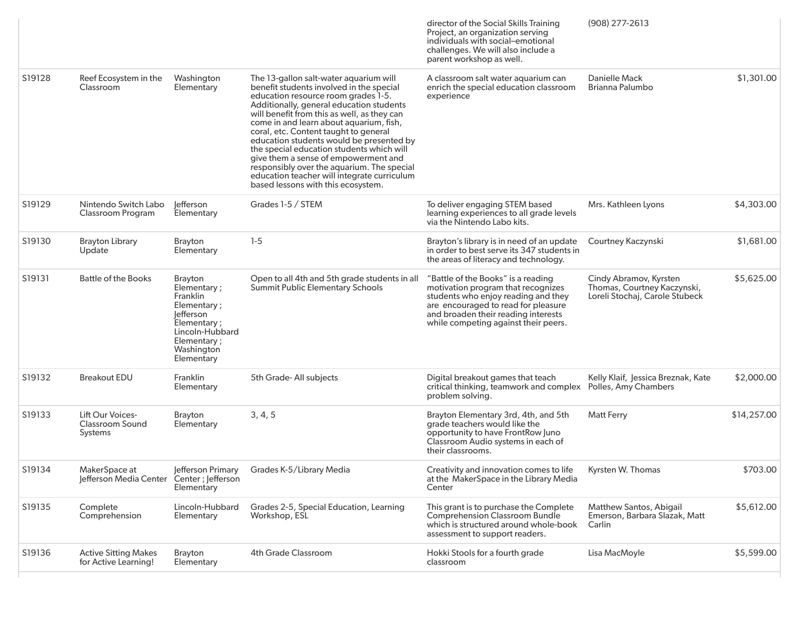|        |                                                           |                                                                                                                                                    |                                                                                                                                                                                                                                                                                                                                                                                                                                                                                                                                                                              | director of the Social Skills Training<br>Project, an organization serving<br>individuals with social-emotional<br>challenges. We will also include a<br>parent workshop as well.                                                     | $(908)$ 277-2613                                                                        |             |
|--------|-----------------------------------------------------------|----------------------------------------------------------------------------------------------------------------------------------------------------|------------------------------------------------------------------------------------------------------------------------------------------------------------------------------------------------------------------------------------------------------------------------------------------------------------------------------------------------------------------------------------------------------------------------------------------------------------------------------------------------------------------------------------------------------------------------------|---------------------------------------------------------------------------------------------------------------------------------------------------------------------------------------------------------------------------------------|-----------------------------------------------------------------------------------------|-------------|
| S19128 | Reef Ecosystem in the<br>Classroom                        | Washington<br>Elementary                                                                                                                           | The 13-gallon salt-water aquarium will<br>benefit students involved in the special<br>education resource room grades 1-5.<br>Additionally, general education students<br>will benefit from this as well, as they can<br>come in and learn about aquarium, fish,<br>coral, etc. Content taught to general<br>education students would be presented by<br>the special education students which will<br>give them a sense of empowerment and<br>responsibly over the aquarium. The special<br>education teacher will integrate curriculum<br>based lessons with this ecosystem. | A classroom salt water aquarium can<br>enrich the special education classroom<br>experience                                                                                                                                           | <b>Danielle Mack</b><br>Brianna Palumbo                                                 | \$1,301.00  |
| S19129 | Nintendo Switch Labo<br>Classroom Program                 | lefferson<br>Elementary                                                                                                                            | Grades 1-5 / STEM                                                                                                                                                                                                                                                                                                                                                                                                                                                                                                                                                            | To deliver engaging STEM based<br>learning experiences to all grade levels<br>via the Nintendo Labo kits.                                                                                                                             | Mrs. Kathleen Lyons                                                                     | \$4,303.00  |
| S19130 | <b>Brayton Library</b><br>Update                          | <b>Brayton</b><br>Elementary                                                                                                                       | $1-5$                                                                                                                                                                                                                                                                                                                                                                                                                                                                                                                                                                        | Brayton's library is in need of an update<br>in order to best serve its 347 students in<br>the areas of literacy and technology.                                                                                                      | Courtney Kaczynski                                                                      | \$1,681.00  |
| S19131 | <b>Battle of the Books</b>                                | <b>Brayton</b><br>Elementary;<br>Franklin<br>Elementary;<br>lefferson<br>Elementary;<br>Lincoln-Hubbard<br>Elementary;<br>Washington<br>Elementary | Open to all 4th and 5th grade students in all<br><b>Summit Public Elementary Schools</b>                                                                                                                                                                                                                                                                                                                                                                                                                                                                                     | "Battle of the Books" is a reading<br>motivation program that recognizes<br>students who enjoy reading and they<br>are encouraged to read for pleasure<br>and broaden their reading interests<br>while competing against their peers. | Cindy Abramov, Kyrsten<br>Thomas, Courtney Kaczynski,<br>Loreli Stochaj, Carole Stubeck | \$5,625.00  |
| S19132 | <b>Breakout EDU</b>                                       | Franklin<br>Elementary                                                                                                                             | 5th Grade-All subjects                                                                                                                                                                                                                                                                                                                                                                                                                                                                                                                                                       | Digital breakout games that teach<br>critical thinking, teamwork and complex<br>problem solving.                                                                                                                                      | Kelly Klaif, Jessica Breznak, Kate<br>Polles, Amy Chambers                              | \$2,000.00  |
| S19133 | Lift Our Voices-<br><b>Classroom Sound</b><br>Systems     | <b>Brayton</b><br>Elementary                                                                                                                       | 3, 4, 5                                                                                                                                                                                                                                                                                                                                                                                                                                                                                                                                                                      | Brayton Elementary 3rd, 4th, and 5th<br>grade teachers would like the<br>opportunity to have FrontRow Juno<br>Classroom Audio systems in each of<br>their classrooms.                                                                 | <b>Matt Ferry</b>                                                                       | \$14,257.00 |
| S19134 | MakerSpace at<br>Jefferson Media Center Center; Jefferson | Elementary                                                                                                                                         | Jefferson Primary Grades K-5/Library Media                                                                                                                                                                                                                                                                                                                                                                                                                                                                                                                                   | Creativity and innovation comes to life<br>at the MakerSpace in the Library Media<br>Center                                                                                                                                           | Kyrsten W. Thomas                                                                       | \$703.00    |
| S19135 | Complete<br>Comprehension                                 | Lincoln-Hubbard<br>Elementary                                                                                                                      | Grades 2-5, Special Education, Learning<br>Workshop, ESL                                                                                                                                                                                                                                                                                                                                                                                                                                                                                                                     | This grant is to purchase the Complete<br><b>Comprehension Classroom Bundle</b><br>which is structured around whole-book<br>assessment to support readers.                                                                            | Matthew Santos, Abigail<br>Emerson, Barbara Slazak, Matt<br>Carlin                      | \$5,612.00  |
| S19136 | <b>Active Sitting Makes</b><br>for Active Learning!       | <b>Brayton</b><br>Elementary                                                                                                                       | 4th Grade Classroom                                                                                                                                                                                                                                                                                                                                                                                                                                                                                                                                                          | Hokki Stools for a fourth grade<br>classroom                                                                                                                                                                                          | Lisa MacMoyle                                                                           | \$5,599.00  |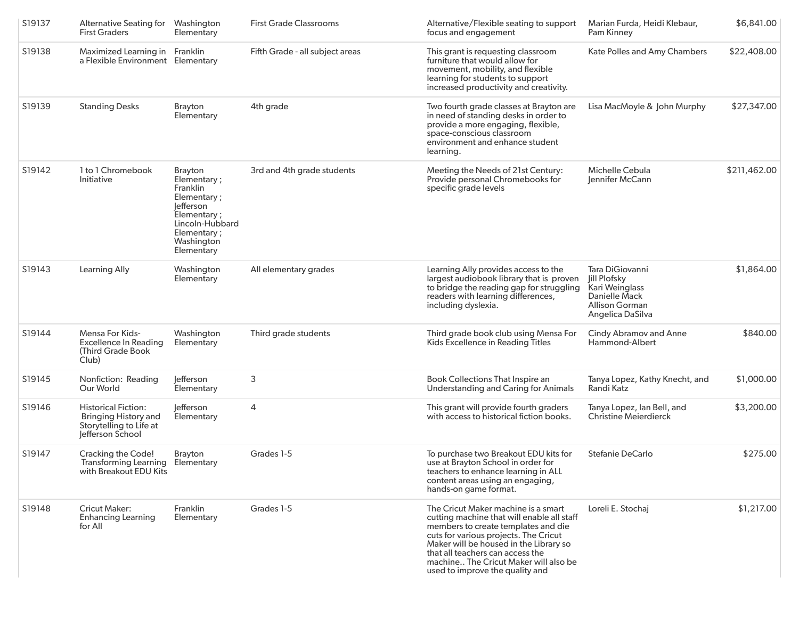| S19137 | Alternative Seating for Washington<br><b>First Graders</b>                                               | Elementary                                                                                                                                         | <b>First Grade Classrooms</b>   | Alternative/Flexible seating to support<br>focus and engagement                                                                                                                                                                                                                                                             | Marian Furda, Heidi Klebaur,<br>Pam Kinney                                                                             | \$6,841.00   |
|--------|----------------------------------------------------------------------------------------------------------|----------------------------------------------------------------------------------------------------------------------------------------------------|---------------------------------|-----------------------------------------------------------------------------------------------------------------------------------------------------------------------------------------------------------------------------------------------------------------------------------------------------------------------------|------------------------------------------------------------------------------------------------------------------------|--------------|
| S19138 | Maximized Learning in Franklin<br>a Flexible Environment Elementary                                      |                                                                                                                                                    | Fifth Grade - all subject areas | This grant is requesting classroom<br>furniture that would allow for<br>movement, mobility, and flexible<br>learning for students to support<br>increased productivity and creativity.                                                                                                                                      | Kate Polles and Amy Chambers                                                                                           | \$22,408.00  |
| S19139 | <b>Standing Desks</b>                                                                                    | <b>Brayton</b><br>Elementary                                                                                                                       | 4th grade                       | Two fourth grade classes at Brayton are<br>in need of standing desks in order to<br>provide a more engaging, flexible,<br>space-conscious classroom<br>environment and enhance student<br>learning.                                                                                                                         | Lisa MacMoyle & John Murphy                                                                                            | \$27,347.00  |
| S19142 | 1 to 1 Chromebook<br>Initiative                                                                          | <b>Brayton</b><br>Elementary;<br>Franklin<br>Elementary;<br>lefferson<br>Elementary;<br>Lincoln-Hubbard<br>Elementary;<br>Washington<br>Elementary | 3rd and 4th grade students      | Meeting the Needs of 21st Century:<br>Provide personal Chromebooks for<br>specific grade levels                                                                                                                                                                                                                             | Michelle Cebula<br>Jennifer McCann                                                                                     | \$211,462.00 |
| S19143 | Learning Ally                                                                                            | Washington<br>Elementary                                                                                                                           | All elementary grades           | Learning Ally provides access to the<br>largest audiobook library that is proven<br>to bridge the reading gap for struggling<br>readers with learning differences,<br>including dyslexia.                                                                                                                                   | Tara DiGiovanni<br><b>Jill Plofsky</b><br>Kari Weinglass<br><b>Danielle Mack</b><br>Allison Gorman<br>Angelica DaSilva | \$1,864.00   |
| S19144 | <b>Mensa For Kids-</b><br><b>Excellence In Reading</b><br>(Third Grade Book<br>Club)                     | Washington<br>Elementary                                                                                                                           | Third grade students            | Third grade book club using Mensa For<br>Kids Excellence in Reading Titles                                                                                                                                                                                                                                                  | <b>Cindy Abramov and Anne</b><br>Hammond-Albert                                                                        | \$840.00     |
| S19145 | Nonfiction: Reading<br>Our World                                                                         | lefferson<br>Elementary                                                                                                                            | 3                               | Book Collections That Inspire an<br>Understanding and Caring for Animals                                                                                                                                                                                                                                                    | Tanya Lopez, Kathy Knecht, and<br>Randi Katz                                                                           | \$1,000.00   |
| S19146 | <b>Historical Fiction:</b><br><b>Bringing History and</b><br>Storytelling to Life at<br>Jefferson School | lefferson<br>Elementary                                                                                                                            | 4                               | This grant will provide fourth graders<br>with access to historical fiction books.                                                                                                                                                                                                                                          | Tanya Lopez, Ian Bell, and<br><b>Christine Meierdierck</b>                                                             | \$3,200.00   |
| S19147 | <b>Cracking the Code!</b><br>Transforming Learning Elementary<br>with Breakout EDU Kits                  | <b>Brayton</b>                                                                                                                                     | Grades 1-5                      | To purchase two Breakout EDU kits for<br>use at Brayton School in order for<br>teachers to enhance learning in ALL<br>content areas using an engaging,<br>hands-on game format.                                                                                                                                             | Stefanie DeCarlo                                                                                                       | \$275.00     |
| S19148 | <b>Cricut Maker:</b><br><b>Enhancing Learning</b><br>for All                                             | Franklin<br>Elementary                                                                                                                             | Grades 1-5                      | The Cricut Maker machine is a smart<br>cutting machine that will enable all staff<br>members to create templates and die<br>cuts for various projects. The Cricut<br>Maker will be housed in the Library so<br>that all teachers can access the<br>machine The Cricut Maker will also be<br>used to improve the quality and | Loreli E. Stochaj                                                                                                      | \$1,217.00   |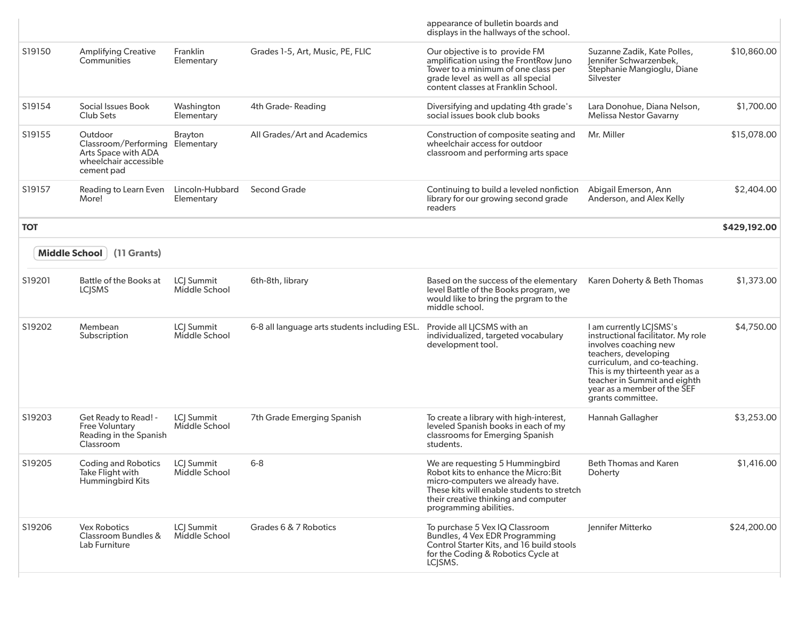|            |                                                                                                          |                                    |                                               | appearance of bulletin boards and<br>displays in the hallways of the school.                                                                                                                                                |                                                                                                                                                                                                                                                                       |              |
|------------|----------------------------------------------------------------------------------------------------------|------------------------------------|-----------------------------------------------|-----------------------------------------------------------------------------------------------------------------------------------------------------------------------------------------------------------------------------|-----------------------------------------------------------------------------------------------------------------------------------------------------------------------------------------------------------------------------------------------------------------------|--------------|
| S19150     | <b>Amplifying Creative</b><br>Communities                                                                | Franklin<br>Elementary             | Grades 1-5, Art, Music, PE, FLIC              | Our objective is to provide FM<br>amplification using the FrontRow Juno<br>Tower to a minimum of one class per<br>grade level as well as all special<br>content classes at Franklin School.                                 | Suzanne Zadik, Kate Polles,<br>Jennifer Schwarzenbek,<br>Stephanie Mangioglu, Diane<br>Silvester                                                                                                                                                                      | \$10,860.00  |
| S19154     | Social Issues Book<br>Club Sets                                                                          | Washington<br>Elementary           | 4th Grade-Reading                             | Diversifying and updating 4th grade's<br>social issues book club books                                                                                                                                                      | Lara Donohue, Diana Nelson,<br>Melissa Nestor Gavarny                                                                                                                                                                                                                 | \$1,700.00   |
| S19155     | Outdoor<br>Classroom/Performing Elementary<br>Arts Space with ADA<br>wheelchair accessible<br>cement pad | <b>Brayton</b>                     | All Grades/Art and Academics                  | Construction of composite seating and<br>wheelchair access for outdoor<br>classroom and performing arts space                                                                                                               | Mr. Miller                                                                                                                                                                                                                                                            | \$15,078.00  |
| S19157     | Reading to Learn Even Lincoln-Hubbard<br>More!                                                           | Elementary                         | <b>Second Grade</b>                           | Continuing to build a leveled nonfiction<br>library for our growing second grade<br>readers                                                                                                                                 | Abigail Emerson, Ann<br>Anderson, and Alex Kelly                                                                                                                                                                                                                      | \$2,404.00   |
| <b>TOT</b> |                                                                                                          |                                    |                                               |                                                                                                                                                                                                                             |                                                                                                                                                                                                                                                                       | \$429,192.00 |
|            | Middle School<br>(11 Grants)                                                                             |                                    |                                               |                                                                                                                                                                                                                             |                                                                                                                                                                                                                                                                       |              |
| S19201     | Battle of the Books at<br><b>LCISMS</b>                                                                  | LCJ Summit<br>Middle School        | 6th-8th, library                              | Based on the success of the elementary<br>level Battle of the Books program, we<br>would like to bring the prgram to the<br>middle school.                                                                                  | Karen Doherty & Beth Thomas                                                                                                                                                                                                                                           | \$1,373.00   |
| S19202     | Membean<br>Subscription                                                                                  | LCJ Summit<br>Middle School        | 6-8 all language arts students including ESL. | Provide all LJCSMS with an<br>individualized, targeted vocabulary<br>development tool.                                                                                                                                      | I am currently LC SMS's<br>instructional facilitator. My role<br>involves coaching new<br>teachers, developing<br>curriculum, and co-teaching.<br>This is my thirteenth year as a<br>teacher in Summit and eighth<br>year as a member of the SEF<br>grants committee. | \$4,750.00   |
| S19203     | Get Ready to Read! -<br><b>Free Voluntary</b><br>Reading in the Spanish<br>Classroom                     | LCI Summit<br>Middle School        | 7th Grade Emerging Spanish                    | To create a library with high-interest,<br>leveled Spanish books in each of my<br>classrooms for Emerging Spanish<br>students.                                                                                              | Hannah Gallagher                                                                                                                                                                                                                                                      | \$3,253.00   |
| S19205     | <b>Coding and Robotics</b><br>Take Flight with<br>Hummingbird Kits                                       | <b>LCI Summit</b><br>Middle School | $6 - 8$                                       | We are requesting 5 Hummingbird<br>Robot kits to enhance the Micro: Bit<br>micro-computers we already have.<br>These kits will enable students to stretch<br>their creative thinking and computer<br>programming abilities. | Beth Thomas and Karen<br>Doherty                                                                                                                                                                                                                                      | \$1,416.00   |
| S19206     | <b>Vex Robotics</b><br>Classroom Bundles &<br>Lab Furniture                                              | LCI Summit<br>Middle School        | Grades 6 & 7 Robotics                         | To purchase 5 Vex IQ Classroom<br>Bundles, 4 Vex EDR Programming<br>Control Starter Kits, and 16 build stools<br>for the Coding & Robotics Cycle at<br>LCJSMS.                                                              | Jennifer Mitterko                                                                                                                                                                                                                                                     | \$24,200.00  |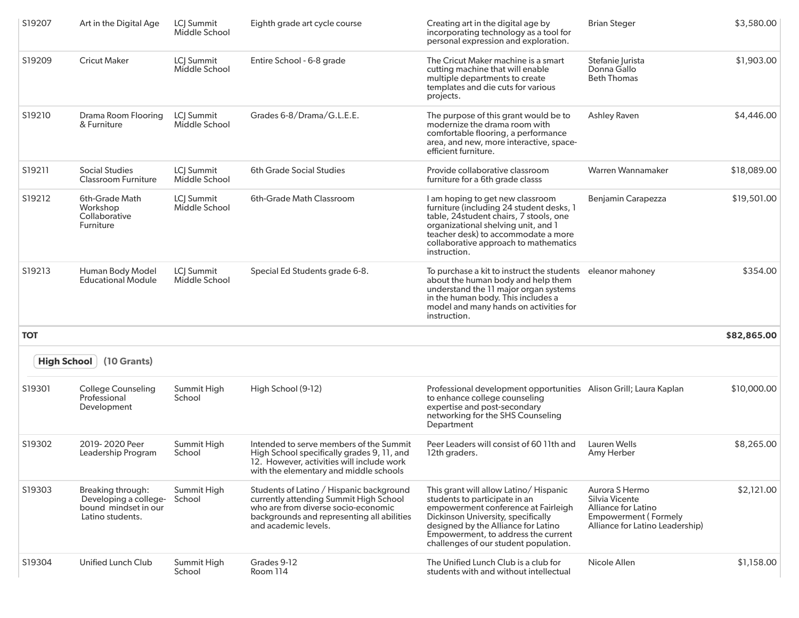| S19207     | Art in the Digital Age                                                                 | LCJ Summit<br>Middle School | Eighth grade art cycle course                                                                                                                                                                   | Creating art in the digital age by<br>incorporating technology as a tool for<br>personal expression and exploration.                                                                                                                                                        | <b>Brian Steger</b>                                                                                                       | \$3,580.00  |
|------------|----------------------------------------------------------------------------------------|-----------------------------|-------------------------------------------------------------------------------------------------------------------------------------------------------------------------------------------------|-----------------------------------------------------------------------------------------------------------------------------------------------------------------------------------------------------------------------------------------------------------------------------|---------------------------------------------------------------------------------------------------------------------------|-------------|
| S19209     | <b>Cricut Maker</b>                                                                    | LCJ Summit<br>Middle School | Entire School - 6-8 grade                                                                                                                                                                       | The Cricut Maker machine is a smart<br>cutting machine that will enable<br>multiple departments to create<br>templates and die cuts for various<br>projects.                                                                                                                | Stefanie Jurista<br>Donna Gallo<br><b>Beth Thomas</b>                                                                     | \$1,903.00  |
| S19210     | <b>Drama Room Flooring</b><br>& Furniture                                              | LC  Summit<br>Middle School | Grades 6-8/Drama/G.L.E.E.                                                                                                                                                                       | The purpose of this grant would be to<br>modernize the drama room with<br>comfortable flooring, a performance<br>area, and new, more interactive, space-<br>efficient furniture.                                                                                            | <b>Ashley Raven</b>                                                                                                       | \$4,446.00  |
| S19211     | <b>Social Studies</b><br><b>Classroom Furniture</b>                                    | LC  Summit<br>Middle School | <b>6th Grade Social Studies</b>                                                                                                                                                                 | Provide collaborative classroom<br>furniture for a 6th grade classs                                                                                                                                                                                                         | Warren Wannamaker                                                                                                         | \$18,089.00 |
| S19212     | 6th-Grade Math<br>Workshop<br>Collaborative<br>Furniture                               | LC  Summit<br>Middle School | 6th-Grade Math Classroom                                                                                                                                                                        | I am hoping to get new classroom<br>furniture (including 24 student desks, 1<br>table, 24student chairs, 7 stools, one<br>organizational shelving unit, and 1<br>teacher desk) to accommodate a more<br>collaborative approach to mathematics<br>instruction.               | Benjamin Carapezza                                                                                                        | \$19,501.00 |
| S19213     | Human Body Model<br><b>Educational Module</b>                                          | LCJ Summit<br>Middle School | Special Ed Students grade 6-8.                                                                                                                                                                  | To purchase a kit to instruct the students eleanor mahoney<br>about the human body and help them<br>understand the 11 major organ systems<br>in the human body. This includes a<br>model and many hands on activities for<br>instruction.                                   |                                                                                                                           | \$354.00    |
| <b>TOT</b> |                                                                                        |                             |                                                                                                                                                                                                 |                                                                                                                                                                                                                                                                             |                                                                                                                           | \$82,865.00 |
|            | <b>High School</b><br>(10 Grants)                                                      |                             |                                                                                                                                                                                                 |                                                                                                                                                                                                                                                                             |                                                                                                                           |             |
| S19301     | <b>College Counseling</b><br>Professional<br>Development                               | Summit High<br>School       | High School (9-12)                                                                                                                                                                              | Professional development opportunities Alison Grill; Laura Kaplan<br>to enhance college counseling<br>expertise and post-secondary<br>networking for the SHS Counseling<br>Department                                                                                       |                                                                                                                           | \$10,000.00 |
| S19302     | 2019-2020 Peer<br>Leadership Program                                                   | Summit High<br>School       | Intended to serve members of the Summit<br>High School specifically grades 9, 11, and<br>12. However, activities will include work<br>with the elementary and middle schools                    | Peer Leaders will consist of 60 11th and<br>12th graders.                                                                                                                                                                                                                   | Lauren Wells<br>Amy Herber                                                                                                | \$8,265.00  |
| S19303     | Breaking through:<br>Developing a college-<br>bound mindset in our<br>Latino students. | Summit High<br>School       | Students of Latino / Hispanic background<br>currently attending Summit High School<br>who are from diverse socio-economic<br>backgrounds and representing all abilities<br>and academic levels. | This grant will allow Latino/ Hispanic<br>students to participate in an<br>empowerment conference at Fairleigh<br>Dickinson University, specifically<br>designed by the Alliance for Latino<br>Empowerment, to address the current<br>challenges of our student population. | Aurora S Hermo<br>Silvia Vicente<br>Alliance for Latino<br><b>Empowerment (Formely</b><br>Alliance for Latino Leadership) | \$2,121.00  |
| S19304     | Unified Lunch Club                                                                     | Summit High<br>School       | Grades 9-12<br>Room 114                                                                                                                                                                         | The Unified Lunch Club is a club for<br>students with and without intellectual                                                                                                                                                                                              | Nicole Allen                                                                                                              | \$1,158.00  |